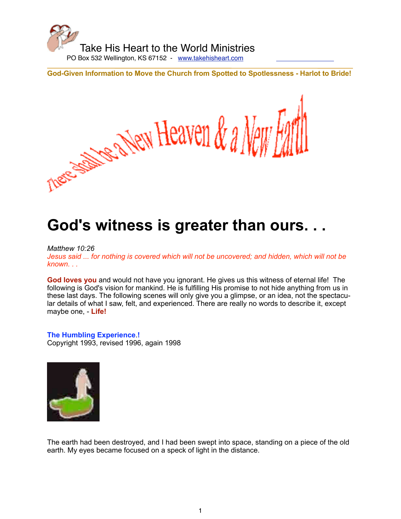

There is the New Heaven & a New

**God-Given Information to Move the Church from Spotted to Spotlessness - Harlot to Bride!**

# **God's witness is greater than ours. . .**

# *Matthew 10:26*

*Jesus said ... for nothing is covered which will not be uncovered; and hidden, which will not be known. . .*

**God loves you** and would not have you ignorant. He gives us this witness of eternal life! The following is God's vision for mankind. He is fulfilling His promise to not hide anything from us in these last days. The following scenes will only give you a glimpse, or an idea, not the spectacular details of what I saw, felt, and experienced. There are really no words to describe it, except maybe one, - **Life!**

# **The Humbling Experience**.**!**

Copyright 1993, revised 1996, again 1998



The earth had been destroyed, and I had been swept into space, standing on a piece of the old earth. My eyes became focused on a speck of light in the distance.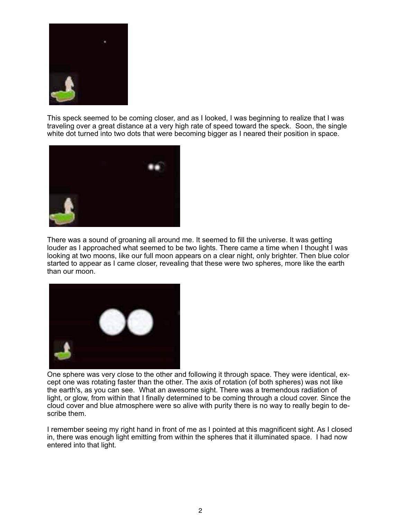

This speck seemed to be coming closer, and as I looked, I was beginning to realize that I was traveling over a great distance at a very high rate of speed toward the speck. Soon, the single white dot turned into two dots that were becoming bigger as I neared their position in space.



There was a sound of groaning all around me. It seemed to fill the universe. It was getting louder as I approached what seemed to be two lights. There came a time when I thought I was looking at two moons, like our full moon appears on a clear night, only brighter. Then blue color started to appear as I came closer, revealing that these were two spheres, more like the earth than our moon.



One sphere was very close to the other and following it through space. They were identical, except one was rotating faster than the other. The axis of rotation (of both spheres) was not like the earth's, as you can see. What an awesome sight. There was a tremendous radiation of light, or glow, from within that I finally determined to be coming through a cloud cover. Since the cloud cover and blue atmosphere were so alive with purity there is no way to really begin to describe them.

I remember seeing my right hand in front of me as I pointed at this magnificent sight. As I closed in, there was enough light emitting from within the spheres that it illuminated space. I had now entered into that light.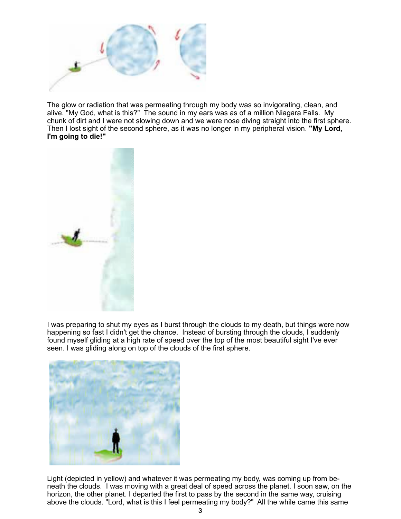

The glow or radiation that was permeating through my body was so invigorating, clean, and alive. "My God, what is this?" The sound in my ears was as of a million Niagara Falls. My chunk of dirt and I were not slowing down and we were nose diving straight into the first sphere. Then I lost sight of the second sphere, as it was no longer in my peripheral vision. **"My Lord, I'm going to die!"**



I was preparing to shut my eyes as I burst through the clouds to my death, but things were now happening so fast I didn't get the chance. Instead of bursting through the clouds, I suddenly found myself gliding at a high rate of speed over the top of the most beautiful sight I've ever seen. I was gliding along on top of the clouds of the first sphere.



Light (depicted in yellow) and whatever it was permeating my body, was coming up from beneath the clouds. I was moving with a great deal of speed across the planet. I soon saw, on the horizon, the other planet. I departed the first to pass by the second in the same way, cruising above the clouds. "Lord, what is this I feel permeating my body?" All the while came this same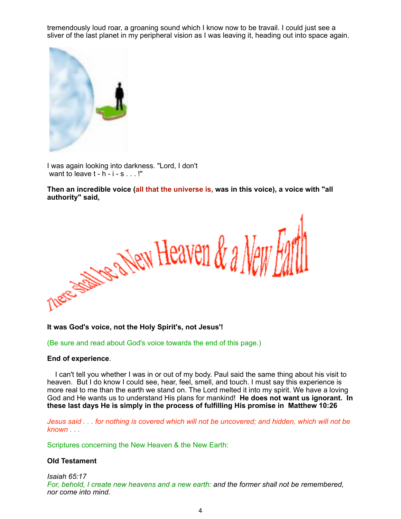tremendously loud roar, a groaning sound which I know now to be travail. I could just see a sliver of the last planet in my peripheral vision as I was leaving it, heading out into space again.



I was again looking into darkness. "Lord, I don't want to leave  $t - h - i - s$ ...!"

**Then an incredible voice (all that the universe is, was in this voice), a voice with "all authority" said,**



**It was God's voice, not the Holy Spirit's, not Jesus'!**

(Be sure and read about God's voice towards the end of this page.)

# **End of experience**.

 I can't tell you whether I was in or out of my body. Paul said the same thing about his visit to heaven. But I do know I could see, hear, feel, smell, and touch. I must say this experience is more real to me than the earth we stand on. The Lord melted it into my spirit. We have a loving God and He wants us to understand His plans for mankind! **He does not want us ignorant. In these last days He is simply in the process of fulfilling His promise in Matthew 10:26**

*Jesus said . . . for nothing is covered which will not be uncovered; and hidden, which will not be known . . .*

Scriptures concerning the New Heaven & the New Earth:

# **Old Testament**

*Isaiah 65:17 For, behold, I create new heavens and a new earth: and the former shall not be remembered, nor come into mind.*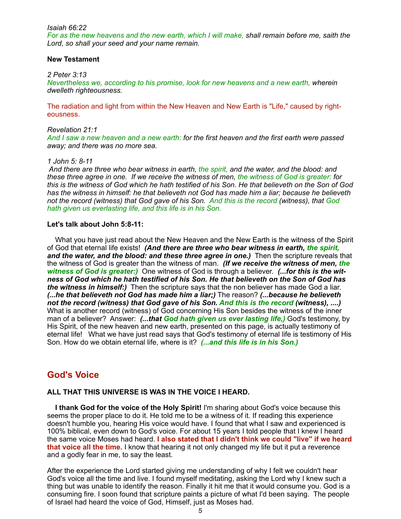#### *Isaiah 66:22*

*For as the new heavens and the new earth, which I will make, shall remain before me, saith the Lord, so shall your seed and your name remain.*

#### **New Testament**

#### *2 Peter 3:13*

*Nevertheless we, according to his promise, look for new heavens and a new earth, wherein dwelleth righteousness.*

The radiation and light from within the New Heaven and New Earth is "Life," caused by righteousness.

#### *Revelation 21:1*

*And I saw a new heaven and a new earth: for the first heaven and the first earth were passed away; and there was no more sea.*

#### *1 John 5: 8-11*

 *And there are three who bear witness in earth, the spirit, and the water, and the blood: and these three agree in one. If we receive the witness of men, the witness of God is greater: for this is the witness of God which he hath testified of his Son. He that believeth on the Son of God has the witness in himself: he that believeth not God has made him a liar; because he believeth not the record (witness) that God gave of his Son. And this is the record (witness), that God hath given us everlasting life, and this life is in his Son.*

# **Let's talk about John 5:8-11:**

 What you have just read about the New Heaven and the New Earth is the witness of the Spirit of God that eternal life exists! *(And there are three who bear witness in earth, the spirit,*  and the water, and the blood: and these three agree in one.) Then the scripture reveals that the witness of God is greater than the witness of man.*(If we receive the witness of men, the witness of God is greater:)* One witness of God is through a believer. *(...for this is the witness of God which he hath testified of his Son. He that believeth on the Son of God has the witness in himself:)* Then the scripture says that the non believer has made God a liar. *(...he that believeth not God has made him a liar;)* The reason? *(...because he believeth not the record (witness) that God gave of his Son. And this is the record (witness), ....)* What is another record (witness) of God concerning His Son besides the witness of the inner man of a believer? Answer: *(...that God hath given us ever lasting life,)* God's testimony, by His Spirit, of the new heaven and new earth, presented on this page, is actually testimony of eternal life! What we have just read says that God's testimony of eternal life is testimony of His Son. How do we obtain eternal life, where is it?*(...and this life is in his Son.)*

# **God's Voice**

# **ALL THAT THIS UNIVERSE IS WAS IN THE VOICE I HEARD.**

 **I thank God for the voice of the Holy Spirit!** I'm sharing about God's voice because this seems the proper place to do it. He told me to be a witness of it. If reading this experience doesn't humble you, hearing His voice would have. I found that what I saw and experienced is 100% biblical, even down to God's voice. For about 15 years I told people that I knew I heard the same voice Moses had heard. **I also stated that I didn't think we could "live" if we heard that voice all the time.** I know that hearing it not only changed my life but it put a reverence and a godly fear in me, to say the least.

After the experience the Lord started giving me understanding of why I felt we couldn't hear God's voice all the time and live. I found myself meditating, asking the Lord why I knew such a thing but was unable to identify the reason. Finally it hit me that it would consume you. God is a consuming fire. I soon found that scripture paints a picture of what I'd been saying. The people of Israel had heard the voice of God, Himself, just as Moses had.